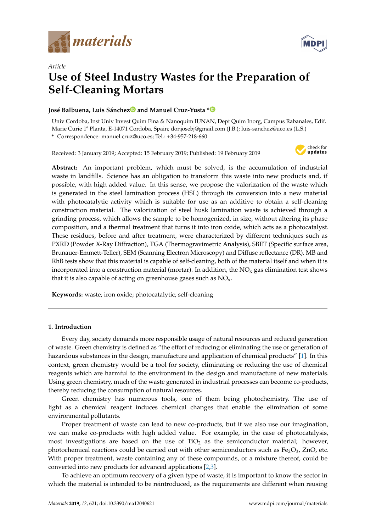

*Article*



# **Use of Steel Industry Wastes for the Preparation of Self-Cleaning Mortars**

## **José Balbuena, Luis Sánche[z](https://orcid.org/0000-0002-0194-1908) and Manuel Cruz-Yusta [\\*](https://orcid.org/0000-0003-2787-9441)**

Univ Cordoba, Inst Univ Invest Quim Fina & Nanoquim IUNAN, Dept Quim Inorg, Campus Rabanales, Edif. Marie Curie 1ª Planta, E-14071 Cordoba, Spain; donjosebj@gmail.com (J.B.); luis-sanchez@uco.es (L.S.)

**\*** Correspondence: manuel.cruz@uco.es; Tel.: +34-957-218-660

Received: 3 January 2019; Accepted: 15 February 2019; Published: 19 February 2019



**Abstract:** An important problem, which must be solved, is the accumulation of industrial waste in landfills. Science has an obligation to transform this waste into new products and, if possible, with high added value. In this sense, we propose the valorization of the waste which is generated in the steel lamination process (HSL) through its conversion into a new material with photocatalytic activity which is suitable for use as an additive to obtain a self-cleaning construction material. The valorization of steel husk lamination waste is achieved through a grinding process, which allows the sample to be homogenized, in size, without altering its phase composition, and a thermal treatment that turns it into iron oxide, which acts as a photocatalyst. These residues, before and after treatment, were characterized by different techniques such as PXRD (Powder X-Ray Diffraction), TGA (Thermogravimetric Analysis), SBET (Specific surface area, Brunauer-Emmett-Teller), SEM (Scanning Electron Microscopy) and Diffuse reflectance (DR). MB and RhB tests show that this material is capable of self-cleaning, both of the material itself and when it is incorporated into a construction material (mortar). In addition, the  $NO<sub>x</sub>$  gas elimination test shows that it is also capable of acting on greenhouse gases such as  $NO<sub>x</sub>$ .

**Keywords:** waste; iron oxide; photocatalytic; self-cleaning

## **1. Introduction**

Every day, society demands more responsible usage of natural resources and reduced generation of waste. Green chemistry is defined as "the effort of reducing or eliminating the use or generation of hazardous substances in the design, manufacture and application of chemical products" [\[1\]](#page-10-0). In this context, green chemistry would be a tool for society, eliminating or reducing the use of chemical reagents which are harmful to the environment in the design and manufacture of new materials. Using green chemistry, much of the waste generated in industrial processes can become co-products, thereby reducing the consumption of natural resources.

Green chemistry has numerous tools, one of them being photochemistry. The use of light as a chemical reagent induces chemical changes that enable the elimination of some environmental pollutants.

Proper treatment of waste can lead to new co-products, but if we also use our imagination, we can make co-products with high added value. For example, in the case of photocatalysis, most investigations are based on the use of  $TiO<sub>2</sub>$  as the semiconductor material; however, photochemical reactions could be carried out with other semiconductors such as  $Fe<sub>2</sub>O<sub>3</sub>$ , ZnO, etc. With proper treatment, waste containing any of these compounds, or a mixture thereof, could be converted into new products for advanced applications [\[2,](#page-10-1)[3\]](#page-10-2).

To achieve an optimum recovery of a given type of waste, it is important to know the sector in which the material is intended to be reintroduced, as the requirements are different when reusing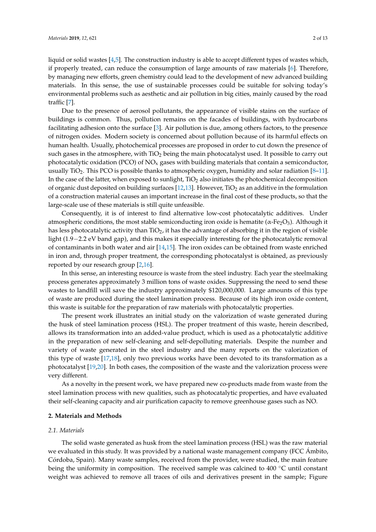liquid or solid wastes [\[4](#page-10-3)[,5\]](#page-10-4). The construction industry is able to accept different types of wastes which, if properly treated, can reduce the consumption of large amounts of raw materials [\[6\]](#page-10-5). Therefore, by managing new efforts, green chemistry could lead to the development of new advanced building materials. In this sense, the use of sustainable processes could be suitable for solving today's environmental problems such as aesthetic and air pollution in big cities, mainly caused by the road traffic [\[7\]](#page-10-6).

Due to the presence of aerosol pollutants, the appearance of visible stains on the surface of buildings is common. Thus, pollution remains on the facades of buildings, with hydrocarbons facilitating adhesion onto the surface [\[3\]](#page-10-2). Air pollution is due, among others factors, to the presence of nitrogen oxides. Modern society is concerned about pollution because of its harmful effects on human health. Usually, photochemical processes are proposed in order to cut down the presence of such gases in the atmosphere, with  $TiO<sub>2</sub>$  being the main photocatalyst used. It possible to carry out photocatalytic oxidation (PCO) of  $NO<sub>x</sub>$  gases with building materials that contain a semiconductor, usually TiO<sub>2</sub>. This PCO is possible thanks to atmospheric oxygen, humidity and solar radiation  $[8-11]$  $[8-11]$ . In the case of the latter, when exposed to sunlight,  $TiO<sub>2</sub>$  also initiates the photochemical decomposition of organic dust deposited on building surfaces [\[12,](#page-10-9)[13\]](#page-10-10). However,  $TiO<sub>2</sub>$  as an additive in the formulation of a construction material causes an important increase in the final cost of these products, so that the large-scale use of these materials is still quite unfeasible.

Consequently, it is of interest to find alternative low-cost photocatalytic additives. Under atmospheric conditions, the most stable semiconducting iron oxide is hematite ( $\alpha$ -Fe<sub>2</sub>O<sub>3</sub>). Although it has less photocatalytic activity than  $TiO<sub>2</sub>$ , it has the advantage of absorbing it in the region of visible light (1.9−2.2 eV band gap), and this makes it especially interesting for the photocatalytic removal of contaminants in both water and air [\[14](#page-10-11)[,15\]](#page-10-12). The iron oxides can be obtained from waste enriched in iron and, through proper treatment, the corresponding photocatalyst is obtained, as previously reported by our research group [\[2](#page-10-1)[,16\]](#page-10-13).

In this sense, an interesting resource is waste from the steel industry. Each year the steelmaking process generates approximately 3 million tons of waste oxides. Suppressing the need to send these wastes to landfill will save the industry approximately \$120,000,000. Large amounts of this type of waste are produced during the steel lamination process. Because of its high iron oxide content, this waste is suitable for the preparation of raw materials with photocatalytic properties.

The present work illustrates an initial study on the valorization of waste generated during the husk of steel lamination process (HSL). The proper treatment of this waste, herein described, allows its transformation into an added-value product, which is used as a photocatalytic additive in the preparation of new self-cleaning and self-depolluting materials. Despite the number and variety of waste generated in the steel industry and the many reports on the valorization of this type of waste [\[17](#page-10-14)[,18\]](#page-10-15), only two previous works have been devoted to its transformation as a photocatalyst [\[19](#page-10-16)[,20\]](#page-11-0). In both cases, the composition of the waste and the valorization process were very different.

As a novelty in the present work, we have prepared new co-products made from waste from the steel lamination process with new qualities, such as photocatalytic properties, and have evaluated their self-cleaning capacity and air purification capacity to remove greenhouse gases such as NO.

#### **2. Materials and Methods**

#### *2.1. Materials*

The solid waste generated as husk from the steel lamination process (HSL) was the raw material we evaluated in this study. It was provided by a national waste management company (FCC Ámbito, Córdoba, Spain). Many waste samples, received from the provider, were studied, the main feature being the uniformity in composition. The received sample was calcined to 400 ◦C until constant weight was achieved to remove all traces of oils and derivatives present in the sample; Figure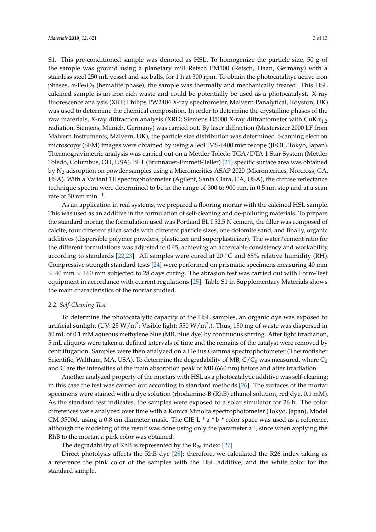S1. This pre-conditioned sample was denoted as HSL. To homogenize the particle size, 50 g of the sample was ground using a planetary mill Retsch PM100 (Retsch, Haan, Germany) with a stainless steel 250 mL vessel and six balls, for 1 h at 300 rpm. To obtain the photocatalityc active iron phases,  $\alpha$ -Fe<sub>2</sub>O<sub>3</sub> (hematite phase), the sample was thermally and mechanically treated. This HSL calcined sample is an iron rich waste and could be potentially be used as a photocatalyst. X-ray fluorescence analysis (XRF; Philips PW2404 X-ray spectrometer, Malvern Panalytical, Royston, UK) was used to determine the chemical composition. In order to determine the crystalline phases of the raw materials, X-ray diffraction analysis (XRD; Siemens D5000 X-ray diffractometer with CuK $\alpha_{1,2}$ radiation, Siemens, Munich, Germany) was carried out. By laser diffraction (Mastersizer 2000 LF from Malvern Instruments, Malvern, UK), the particle size distribution was determined. Scanning electron microscopy (SEM) images were obtained by using a Jeol JMS-6400 microscope (JEOL, Tokyo, Japan). Thermogravimetric analysis was carried out on a Mettler Toledo TGA/DTA 1 Star System (Mettler Toledo, Columbus, OH, USA). BET (Brunnauer-Emmett-Teller) [\[21\]](#page-11-1) specific surface area was obtained by N<sup>2</sup> adsorption on powder samples using a Micromeritics ASAP 2020 (Micromeritics, Norcross, GA, USA). With a Variant 1E spectrophotometer (Agilent, Santa Clara, CA, USA), the diffuse reflectance technique spectra were determined to be in the range of 300 to 900 nm, in 0.5 nm step and at a scan rate of 30 nm min<sup>-1</sup>.

As an application in real systems, we prepared a flooring mortar with the calcined HSL sample. This was used as an additive in the formulation of self-cleaning and de-polluting materials. To prepare the standard mortar, the formulation used was Portland BL I 52.5 N cement, the filler was composed of calcite, four different silica sands with different particle sizes, one dolomite sand, and finally, organic additives (dispersible polymer powders, plasticizer and superplasticizer). The water/cement ratio for the different formulations was adjusted to 0.45, achieving an acceptable consistency and workability according to standards [\[22](#page-11-2)[,23\]](#page-11-3). All samples were cured at 20  $°C$  and 65% relative humidity (RH). Compressive strength standard tests [\[24\]](#page-11-4) were performed on prismatic specimens measuring 40 mm  $\times$  40 mm  $\times$  160 mm subjected to 28 days curing. The abrasion test was carried out with Form-Test equipment in accordance with current regulations [\[25\]](#page-11-5). Table S1 in Supplementary Materials shows the main characteristics of the mortar studied.

### *2.2. Self-Cleaning Test*

To determine the photocatalytic capacity of the HSL samples, an organic dye was exposed to artificial sunlight (UV: 25 W/m<sup>2</sup>; Visible light: 550 W/m<sup>2</sup>,). Thus, 150 mg of waste was dispersed in 50 mL of 0.1 mM aqueous methylene blue (MB, blue dye) by continuous stirring. After light irradiation, 5 mL aliquots were taken at defined intervals of time and the remains of the catalyst were removed by centrifugation. Samples were then analyzed on a Helius Gamma spectrophotometer (Thermofisher Scientific, Waltham, MA, USA). To determine the degradability of MB,  $C/C_0$  was measured, where  $C_0$ and C are the intensities of the main absorption peak of MB (660 nm) before and after irradiation.

Another analyzed property of the mortars with HSL as a photocatalytic additive was self-cleaning; in this case the test was carried out according to standard methods [\[26\]](#page-11-6). The surfaces of the mortar specimens were stained with a dye solution (rhodamine-B (RhB) ethanol solution, red dye, 0.1 mM). As the standard test indicates, the samples were exposed to a solar simulator for 26 h. The color differences were analyzed over time with a Konica Minolta spectrophotometer (Tokyo, Japan), Model CM-3500d, using a 0.8 cm diameter mask. The CIE L  $* a * b *$  color space was used as a reference, although the modeling of the result was done using only the parameter a \*, since when applying the RhB to the mortar, a pink color was obtained.

The degradability of RhB is represented by the  $R_{26}$  index: [\[27\]](#page-11-7)

Direct photolysis affects the RhB dye [\[28\]](#page-11-8); therefore, we calculated the R26 index taking as a reference the pink color of the samples with the HSL additive, and the white color for the standard sample.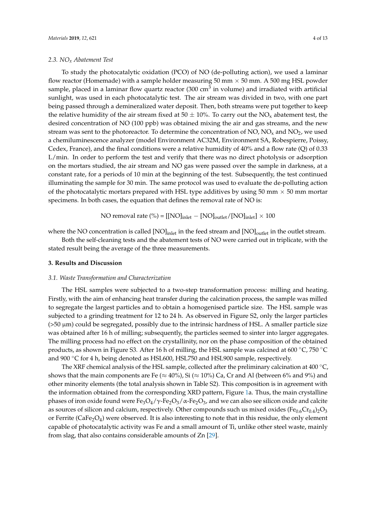#### *2.3. NO<sup>x</sup> Abatement Test*

To study the photocatalytic oxidation (PCO) of NO (de-polluting action), we used a laminar flow reactor (Homemade) with a sample holder measuring 50 mm  $\times$  50 mm. A 500 mg HSL powder sample, placed in a laminar flow quartz reactor (300 cm $^3$  in volume) and irradiated with artificial sunlight, was used in each photocatalytic test. The air stream was divided in two, with one part being passed through a demineralized water deposit. Then, both streams were put together to keep the relative humidity of the air stream fixed at 50  $\pm$  10%. To carry out the NO<sub>x</sub> abatement test, the desired concentration of NO (100 ppb) was obtained mixing the air and gas streams, and the new stream was sent to the photoreactor. To determine the concentration of NO,  $NO<sub>x</sub>$  and  $NO<sub>2</sub>$ , we used a chemiluminescence analyzer (model Environment AC32M, Environment SA, Robespierre, Poissy, Cedex, France), and the final conditions were a relative humidity of 40% and a flow rate (Q) of 0.33 L/min. In order to perform the test and verify that there was no direct photolysis or adsorption on the mortars studied, the air stream and NO gas were passed over the sample in darkness, at a constant rate, for a periods of 10 min at the beginning of the test. Subsequently, the test continued illuminating the sample for 30 min. The same protocol was used to evaluate the de-polluting action of the photocatalytic mortars prepared with HSL type additives by using 50 mm  $\times$  50 mm mortar specimens. In both cases, the equation that defines the removal rate of NO is:

NO removal rate (%) = 
$$
[[NO]_{inlet} - [NO]_{outlet} / [NO]_{inlet}] \times 100
$$

where the NO concentration is called  $[NO]_{inlet}$  in the feed stream and  $[NO]_{outlet}$  in the outlet stream.

Both the self-cleaning tests and the abatement tests of NO were carried out in triplicate, with the stated result being the average of the three measurements.

#### **3. Results and Discussion**

#### *3.1. Waste Transformation and Characterization*

The HSL samples were subjected to a two-step transformation process: milling and heating. Firstly, with the aim of enhancing heat transfer during the calcination process, the sample was milled to segregate the largest particles and to obtain a homogenised particle size. The HSL sample was subjected to a grinding treatment for 12 to 24 h. As observed in Figure S2, only the larger particles (>50 µm) could be segregated, possibly due to the intrinsic hardness of HSL. A smaller particle size was obtained after 16 h of milling; subsequently, the particles seemed to sinter into larger aggregates. The milling process had no effect on the crystallinity, nor on the phase composition of the obtained products, as shown in Figure S3. After 16 h of milling, the HSL sample was calcined at 600 ◦C, 750 ◦C and 900 ◦C for 4 h, being denoted as HSL600, HSL750 and HSL900 sample, respectively.

The XRF chemical analysis of the HSL sample, collected after the preliminary calcination at 400  $^{\circ}$ C, shows that the main components are Fe ( $\approx 40\%$ ), Si ( $\approx 10\%$ ) Ca, Cr and Al (between 6% and 9%) and other minority elements (the total analysis shown in Table S2). This composition is in agreement with the information obtained from the corresponding XRD pattern, Figure [1a](#page-4-0). Thus, the main crystalline phases of iron oxide found were Fe<sub>3</sub>O<sub>4</sub>/ $\gamma$ -Fe<sub>2</sub>O<sub>3</sub>/α-Fe<sub>2</sub>O<sub>3</sub>, and we can also see silicon oxide and calcite as sources of silicon and calcium, respectively. Other compounds such us mixed oxides (Fe<sub>0.6</sub>Cr<sub>0.4</sub>)<sub>2</sub>O<sub>3</sub> or Ferrite (CaFe<sub>2</sub>O<sub>4</sub>) were observed. It is also interesting to note that in this residue, the only element capable of photocatalytic activity was Fe and a small amount of Ti, unlike other steel waste, mainly from slag, that also contains considerable amounts of Zn [\[29\]](#page-11-9).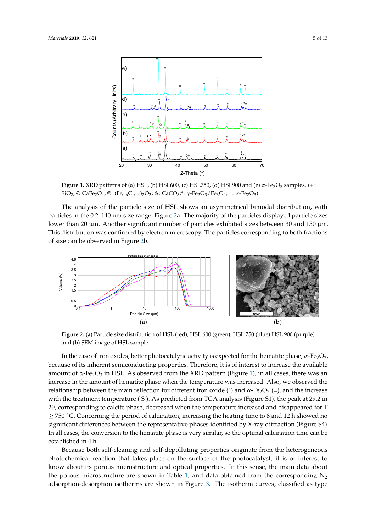<span id="page-4-0"></span>

**Figure 1.** XRD patterns of (a) HSL, (b) HSL600, (c) HSL750, (d) HSL900 and (e)  $\alpha$ -Fe<sub>2</sub>O<sub>3</sub> samples. (+: SiO<sub>2</sub>; €: CaFe<sub>2</sub>O<sub>4</sub>; @: (Fe<sub>0.6</sub>Cr<sub>0.4</sub>)<sub>2</sub>O<sub>3</sub>; &: CaCO<sub>3</sub>;\*: γ-Fe<sub>2</sub>O<sub>3</sub>/Fe<sub>3</sub>O<sub>4</sub>; =: α-Fe<sub>2</sub>O<sub>3</sub>)

The analysis of the particle size of HSL shows an asymmetrical bimodal distribution, with  $\frac{1}{100}$  and  $\frac{1}{100}$  and  $\frac{1}{100}$  and  $\frac{1}{100}$  and  $\frac{1}{100}$  and  $\frac{1}{100}$  and  $\frac{1}{100}$  and  $\frac{1}{100}$  and  $\frac{$ particles in the 0.2–140 μm size range, Figure 2a. The majority of the particles displayed particle sizes lower than 20  $\mu$ m. Another significant number of particles exhibited sizes between 30 and 150  $\mu$ m. This distribution was confirmed by electron microscopy. The particles corresponding to both fractions of size can be observed in Figure [2b](#page-4-1). particles in the 0.2–140 μm size range, Figure [2a](#page-4-1). The majority of the particles displayed particle sizes between 30 and 150 μm. Another sizes between 30 and 150 μm. Another sizes between 30 and 150 μm. Another sizes betw The analysis of the particle size of HSL shows an asymmetrical bimodal distribution, with particle dialysis of the particle size of the shows an asymmetrical photography with

<span id="page-4-1"></span>

Figure 2. (a) Particle size distribution of HSL (red), HSL 600 (green), HSL 750 (blue) HSL 900 (purple) and (**b**) SEM image of HSL sample.

and (**b**) SEM image of HSL sample. because of its inherent semiconducting properties. Therefore, it is of interest to increase the available amount of  $\alpha$ -Fe<sub>2</sub>O<sub>3</sub> in HSL. As observed from the XRD pattern (Figure [1\)](#page-4-0), in all cases, there was an increase in the amount of hematite phase when the temperature was increased. Also, we observed the relationship between the main reflection for different iron oxide (\*) and  $\alpha$ -Fe<sub>2</sub>O<sub>3</sub> (=), and the increase with the treatment temperature (S). As predicted from TGA analysis (Figure S1), the peak at 29.2 in 2θ, corresponding to calcite phase, decreased when the temperature increased and disappeared for T  $\geq$  750 °C. Concerning the period of calcination, increasing the heating time to 8 and 12 h showed no significant differences between the representative phases identified by X-ray diffraction (Figure S4). In all cases, the conversion to the hematite phase is very similar, so the optimal calcination time can be  $\alpha$  established in 4 n. In the case of iron oxides, better photocatalytic activity is expected for the hematite phase,  $\alpha$ -Fe $_{2}$ O $_{3}$ , established in 4 h.

Because both self-cleaning and self-depolluting properties originate from the heterogeneous photochemical reaction that takes place on the surface of the photocatalyst, it is of interest to know about its porous microstructure and optical properties. In this sense, the main data about the porous microstructure are shown in Table [1,](#page-5-0) and data obtained from the corresponding  $N_2$ adsorption-desorption isotherms are shown in Figure [3.](#page-5-1) The isotherm curves, classified as type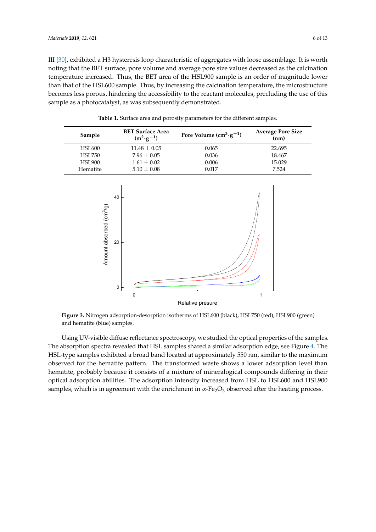and hematite (blue) samples.

III [30], exhibited a H3 hysteresis loop characteristic of aggregates with loose assemblage. It is worth noting that the BET surface, pore volume and average pore size values decreased as the calcination temperature increased. Thus, the BET area of the HSL900 sample is an order of magnitude lower than that of the HSL600 sample. Thus, by increasing the calcination temperature, the microstructure becomes less porous, hindering the accessibility to the reactant molecules, precluding the use of this sample as a photocatalyst, as was subsequently demonstrated.

<span id="page-5-0"></span>

| Sample        | <b>BET Surface Area</b><br>$(m^2 \cdot g^{-1})$ | Pore Volume $(cm^3 \cdot g^{-1})$ | <b>Average Pore Size</b><br>(nm) |
|---------------|-------------------------------------------------|-----------------------------------|----------------------------------|
| HSL600        | $11.48 + 0.05$                                  | 0.065                             | 22.695                           |
| <b>HSL750</b> | $7.96 + 0.05$                                   | 0.036                             | 18.467                           |
| <b>HSL900</b> | $1.61 + 0.02$                                   | 0.006                             | 15.029                           |
| Hematite      | $5.10 \pm 0.08$                                 | 0.017                             | 7.524                            |

**Table 1.** Surface area and porosity parameters for the different samples.

<span id="page-5-1"></span>

**Figure 3. In the State of HSL600 (Figure 3. And hematite (blue) samples. Figure 3.** Nitrogen adsorption-desorption isotherms of HSL600 (black), HSL750 (red), HSL900 (green)

The absorption spectra revealed that HSL samples shared a similar adsorption edge, see Figure [4.](#page-6-0) The HSL-type samples exhibited a broad band located at approximately 550 nm, similar to the maximum observed for the hematite pattern. The transformed waste shows a lower adsorption level than hematite, probably because it consists of a mixture of mineralogical compounds differing in their optical adsorption abilities. The adsorption intensity increased from HSL to HSL600 and HSL900 samples, which is in agreement with the enrichment in  $\alpha$ -Fe<sub>2</sub>O<sub>3</sub> observed after the heating process.  $\mathcal{L}$  samples, which is in agreement with the enrichment in a  $\mathcal{L}$ Using UV-visible diffuse reflectance spectroscopy, we studied the optical properties of the samples.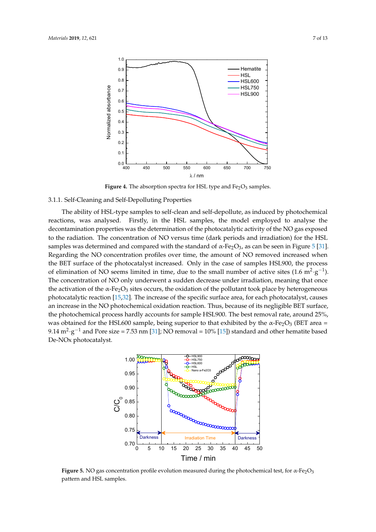<span id="page-6-0"></span>

**Figure 4. The absorption spectra for HSL type and Fe2O3** samples. **Figure 4.** The absorption spectra for HSL type and Fe<sub>2</sub>O<sub>3</sub> samples.

## 3.1.1. Self-Cleaning and Self-Depolluting Properties

The ability of HSL-type samples to self-clean and self-depollute, as induced by photochemical reactions, was analysed. Firstly, in the HSL samples, the model employed to analyse the decontamination properties was the determination of the photocatalytic activity of the NO gas exposed decontamination properties was the determination of the photocatalytic activity of the NO gas exposed<br>to the radiation. The concentration of NO versus time (dark periods and irradiation) for the HSL samples was determined and compared with [the](#page-11-11) standard of  $\alpha$ -Fe<sub>2</sub>O<sub>3</sub>, as can be seen in Figure 5 [31]. samples was determined and compared with the standard of  $\alpha$ -Fe<sub>2</sub>O<sub>3</sub>, as can be seen in [Fig](#page-6-1)ure 5 [31]. Regarding the NO concentration profiles over time, the amount of NO removed increased when the BET surface of the photocatalyst increased. Only in the case of samples HSL900, the process of elimination of NO seems limited in time, due to the small number of active sites  $(1.6 \text{ m}^2 \cdot \text{g}^{-1})$ . of elimination of NO seems limited in time, due to the small number of active sites  $(1.6 \text{ m}^2 \cdot \text{g}^{-1})$ . The concentration of NO only underwent a sudden decrease under irradiation, meaning that once The concentration of NO only underwent a sudden decrease under irradiation, meaning that once the activation of the  $\alpha$ -Fe<sub>2</sub>O<sub>3</sub> sites occurs, the oxidation of the pollutant took place by heterogeneous photocatalytic reaction [15,32]. The increase of the specific surface area, for each photocatalyst, causes an increase in the NO photochemical oxidation reaction. Thus, because of its negligible BET surface, photocatalytic reaction [15,32]. The increase of the specific surface area, for each photocatalyst, causes<br>an increase in the NO photochemical oxidation reaction. Thus, because of its negligible BET surface,<br>the photochemi was obtained for the HSL600 sample, being superior to that exhibited by the  $\alpha$ -Fe<sub>2</sub>O<sub>3</sub> (BET area = 9.14 m<sup>2</sup>·g<sup>-1</sup> and Pore size = 7.53 nm [31]; NO removal = 10% [15]) standard and other hematite based 9.14 m<sup>2</sup>·g<sup>-1</sup> and Pore size = 7.53 nm [31]; NO removal = 10% [15]) standard and other hematite based De-NOx photocatalyst.

<span id="page-6-1"></span>

pattern and HSL samples. **Examples** the photochemical test samples of photochemical test, for  $\alpha$ **Figure 5.** NO gas concentration profile evolution measured during the photochemical test, for α-Fe<sub>2</sub>O<sub>3</sub>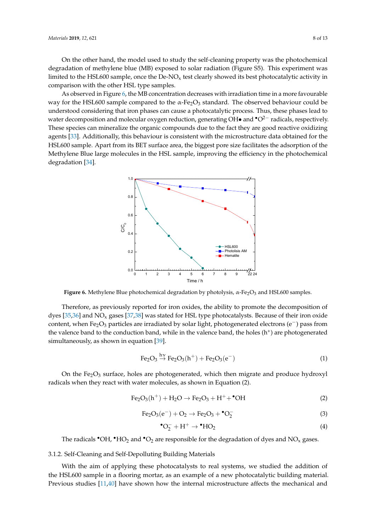On the other hand, the model used to study the self-cleaning property was the photochemical On the other hand, the model used to study the self-cleaning property was the photochemical degradation of methylene blue (MB) exposed to solar radiation (Figure S5). This experiment was degradation of methylene blue (MB) exposed to solar radiation (Figure S5). This experiment was limited to the HSL600 sample, once the De-NO<sub>x</sub> test clearly showed its best photocatalytic activity in comparison with the other HSL type samples. comparison with the other HSL type samples.

As observed in Fig[ur](#page-7-0)e 6, the MB concentration decreases with irradiation time in a more favourable way for the HSL600 sample compared to the  $\alpha$ -Fe<sub>2</sub>O<sub>3</sub> standard. The observed behaviour could be understood considering that iron phases can cause a photocatalytic process. Thus, these phases lead to water decomposition and molecular oxygen reduction, generating OH• and  $\cdot$ O<sup>2−</sup> radicals, respectively. These species can mineralize the organic compounds due to the fact they are good reactive oxidizing agents [\[33\]](#page-11-13). Additionally, this behaviour is consistent with the microstructure data obtained for the HSL600 sample. Apart from its BET surface area, the biggest pore size facilitates the adsorption of the Methylene Blue large molecules in the HSL sample, improving the efficiency in the photochemical degradation [34].

<span id="page-7-0"></span>

**Figure 6.** Methylene Blue photochemical degradation by photolysis, α-Fe<sub>2</sub>O<sub>3</sub> and HSL600 samples.

Therefore, as previously reported for iron oxides, the ability to promote the decomposition of  $\overline{S} = 2$ dyes [\[35](#page-11-15)[,36\]](#page-11-16) and NO<sub>x</sub> gases [\[37](#page-11-17)[,38\]](#page-11-18) was stated for HSL type photocatalysts. Because of their iron oxide content, when Fe<sub>2</sub>O<sub>3</sub> particles are irradiated by solar light, photogenerated electrons (e<sup>−</sup>) pass from the valence band to the conduction band, while in the valence band, the holes  $(h<sup>+</sup>)$  are photogenerated simultaneously, as shown in equation [\[39\]](#page-11-19).

$$
Fe2O3 \stackrel{h\gamma}{\rightarrow} Fe2O3(h+) + Fe2O3(e-)
$$
 (1)

On the  $Fe<sub>2</sub>O<sub>3</sub>$  surface, holes are photogenerated, which then migrate and produce hydroxyl radicals when they react with water molecules, as shown in Equation (2). radicals when they react with water molecules, as shown in Equation (2).

$$
Fe2O3(h+) + H2O \rightarrow Fe2O3 + H+ + °OH
$$
 (2)

$$
Fe2O3(e-) + O2 \to Fe2O3 + •O2-
$$
 (3)

$$
^{\bullet}O_{2}^{-} + H^{+} \rightarrow ^{\bullet} HO_{2} \tag{4}
$$

3.1.2. Self-cleaning and self-depolluting building materials The radicals  $\bullet$ OH,  $\bullet$ HO<sub>2</sub> and  $\bullet$ O<sub>2</sub> are responsible for the degradation of dyes and NO<sub>x</sub> gases.

3.1.2. Self-Cleaning and Self-Depolluting Building Materials

With the aim of applying these photocatalysts to real systems, we studied the addition of the HSL600 sample in a flooring mortar, as an example of a new photocatalytic building material. Previous studies [\[11](#page-10-8)[,40\]](#page-12-0) have shown how the internal microstructure affects the mechanical and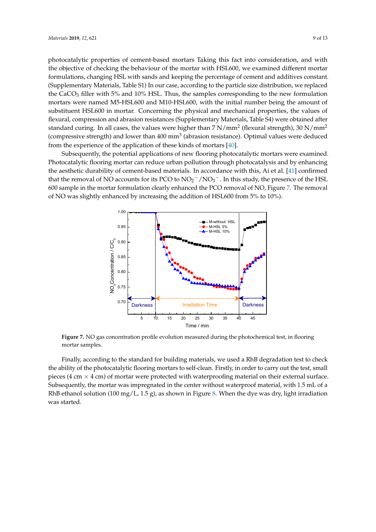photocatalytic properties of cement-based mortars Taking this fact into consideration, and with the objective of checking the behaviour of the mortar with HSL600, we examined different mortar formulations, changing HSL with sands and keeping the percentage of cement and additives constant. (Supplementary Materials, Table S1) In our case, according to the particle size distribution, we replaced the CaCO<sub>3</sub> filler with 5% and 10% HSL. Thus, the samples corresponding to the new formulation mortars were named M5-HSL600 and M10-HSL600, with the initial number being the amount of substituent HSL600 in mortar. Concerning the physical and mechanical properties, the values of flexural, compression and abrasion resistances (Supplementary Materials, Table S4) were obtained after standard curing. In all cases, the values were higher than 7  $\rm N/mm^2$  (flexural strength), 30  $\rm N/mm^2$ (compressive strength) and lower than 400 mm<sup>3</sup> (abrasion resistance). Optimal values were deduced from the experience of the application of these kinds o[f m](#page-12-0)ortars [ $40$ ].

<span id="page-8-0"></span>Subsequently, the potential applications of new flooring photocatalytic mortars were examined. Subsequently, the potential applications of new flooring photocatalytic mortars were examined. Photocatalytic flooring mortar can reduce urban pollution through photocatalysis and by enhancing Photocatalytic flooring mortar can reduce urban pollution through photocatalysis and by enhancing the aesthetic durability of cement-based materials. In accordance with this, Ai et al. [41] confirmed the aesthetic durability of cement-based materials. In accordance with this, Ai et al. [\[41](#page-12-1)] confirmed that the removal of NO accounts for its PCO to  $NO_2^-/NO_3^-$ . In this study, the presence of the HSL 600 sample in the mortar formulation clearly enhanced the PCO removal of NO, Figure 7. The removal sample in the mortar formulation clearly enhanced the PCO removal of NO, Figure [7.](#page-8-0) The removal of NO was slightly enhanced by increasing the addition of HSL600 from 5% to 10%). of NO was slightly enhanced by increasing the addition of HSL600 from 5% to 10%).



**Figure 7.** NO gas concentration profile evolution measured during the photochemical test, in **Figure 7.** NO gas concentration profile evolution measured during the photochemical test, in flooring mortar samples.

Finally, according to the standard for building materials, we used a RhB degradation test to the ability of the photocatalytic flooring mortars to self-clean. Firstly, in order to carry out the test, small pieces (4 cm × 4 cm) of mortar were protected with waterproofing material on their external surface. proces (4 cm × 4 cm) of mortar were protected with waterproofing material on their external surface.<br>Subsequently, the mortar was impregnated in the center without waterproof material, with 1.5 mL of a surface. Subsequently, the mortar was impregnated in the center without waterproof material, with the million RhB ethanol solution (100 mg/L, 1.5 g), as shown in Figure [8.](#page-9-0) When the dye was dry, light irradiation was started. Finally, according to the standard for building materials, we used a RhB degradation test to check was started.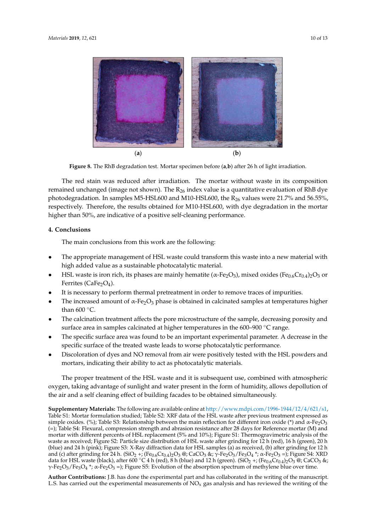<span id="page-9-0"></span>

**Figure 8.** The RhB degradation test. Mortar specimen before (**a**,**b**) after 26 h of light irradiation.

The red stain was reduced after irradiation. The mortar without waste in its composition remained unchanged (image not shown). The  $R_{26}$  index value is a quantitative evaluation of RhB dye photodegradation. In samples M5-HSL600 and M10-HSL600, the  $R_{26}$  values were 21.7% and 56.55%, respectively. Therefore, the results obtained for M10-HSL600, with dye degradation in the mortar higher than 50%, are indicative of a positive self-cleaning performance.

## **4. Conclusions**

The main conclusions from this work are the following:

- The appropriate management of HSL waste could transform this waste into a new material with high added value as a sustainable photocatalytic material.
- HSL waste is iron rich, its phases are mainly hematite ( $\alpha$ -Fe<sub>2</sub>O<sub>3</sub>), mixed oxides (Fe<sub>0.6</sub>Cr<sub>0.4</sub>)<sub>2</sub>O<sub>3</sub> or Ferrites (CaFe<sub>2</sub>O<sub>4</sub>).
- It is necessary to perform thermal pretreatment in order to remove traces of impurities.
- The increased amount of  $\alpha$ -Fe<sub>2</sub>O<sub>3</sub> phase is obtained in calcinated samples at temperatures higher than  $600 °C$ .
- The calcination treatment affects the pore microstructure of the sample, decreasing porosity and surface area in samples calcinated at higher temperatures in the 600–900 °C range.
- The specific surface area was found to be an important experimental parameter. A decrease in the specific surface of the treated waste leads to worse photocatalytic performance.
- Discoloration of dyes and NO removal from air were positively tested with the HSL powders and mortars, indicating their ability to act as photocatalytic materials.

The proper treatment of the HSL waste and it is subsequent use, combined with atmospheric oxygen, taking advantage of sunlight and water present in the form of humidity, allows depollution of the air and a self cleaning effect of building facades to be obtained simultaneously.

**Supplementary Materials:** The following are available online at [http://www.mdpi.com/1996-1944/12/4/621/s1,](http://www.mdpi.com/1996-1944/12/4/621/s1) Table S1: Mortar formulation studied; Table S2: XRF data of the HSL waste after previous treatment expressed as simple oxides. (%); Table S3: Relationship between the main reflection for different iron oxide (\*) and  $\alpha$ -Fe<sub>2</sub>O<sub>3</sub> (=); Table S4: Flexural, compression strength and abrasion resistance after 28 days for Reference mortar (M) and mortar with different percents of HSL replacement (5% and 10%); Figure S1: Thermogravimetric analysis of the waste as received; Figure S2: Particle size distribution of HSL waste after grinding for 12 h (red), 16 h (green), 20 h (blue) and 24 h (pink); Figure S3: X-Ray diffraction data for HSL samples (a) as received, (b) after grinding for 12 h and (c) after grinding for 24 h. (SiO<sub>2</sub> +; (Fe<sub>0.6</sub>Cr<sub>0.4</sub>)<sub>2</sub>O<sub>3</sub> @; CaCO<sub>3</sub> &;  $\gamma$ -Fe<sub>2</sub>O<sub>3</sub>/Fe<sub>3</sub>O<sub>4</sub> \*; α-Fe<sub>2</sub>O<sub>3</sub> =); Figure S4: XRD data for HSL waste (black), after 600 °C 4 h (red), 8 h (blue) and 12 h (green). (SiO<sub>2</sub> +; (Fe<sub>0.6</sub>Cr<sub>0.4</sub>)<sub>2</sub>O<sub>3</sub> @; CaCO<sub>3</sub> &;  $\gamma$ -Fe<sub>2</sub>O<sub>3</sub>/Fe<sub>3</sub>O<sub>4</sub> \*; α-Fe<sub>2</sub>O<sub>3</sub> =); Figure S5: Evolution of the absorption spectrum of methylene blue over time.

**Author Contributions:** J.B. has done the experimental part and has collaborated in the writing of the manuscript. L.S. has carried out the experimental measurements of  $NO<sub>x</sub>$  gas analysis and has reviewed the writing of the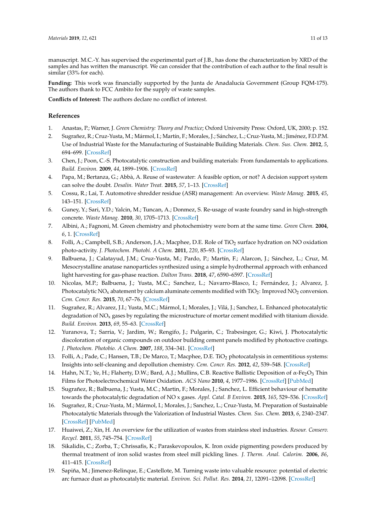manuscript. M.C.-Y. has supervised the experimental part of J.B., has done the characterization by XRD of the samples and has written the manuscript. We can consider that the contribution of each author to the final result is similar (33% for each).

**Funding:** This work was financially supported by the Junta de Anadalucía Government (Group FQM-175). The authors thank to FCC Ambito for the supply of waste samples.

**Conflicts of Interest:** The authors declare no conflict of interest.

## **References**

- <span id="page-10-0"></span>1. Anastas, P.; Warner, J. *Green Chemistry: Theory and Practice*; Oxford University Press: Oxford, UK, 2000; p. 152.
- <span id="page-10-1"></span>2. Sugrañez, R.; Cruz-Yusta, M.; Mármol, I.; Martín, F.; Morales, J.; Sánchez, L.; Cruz-Yusta, M.; Jiménez, F.D.P.M. Use of Industrial Waste for the Manufacturing of Sustainable Building Materials. *Chem. Sus. Chem.* **2012**, *5*, 694–699. [\[CrossRef\]](http://dx.doi.org/10.1002/cssc.201100552)
- <span id="page-10-2"></span>3. Chen, J.; Poon, C.-S. Photocatalytic construction and building materials: From fundamentals to applications. *Build. Environ.* **2009**, *44*, 1899–1906. [\[CrossRef\]](http://dx.doi.org/10.1016/j.buildenv.2009.01.002)
- <span id="page-10-3"></span>4. Papa, M.; Bertanza, G.; Abbà, A. Reuse of wastewater: A feasible option, or not? A decision support system can solve the doubt. *Desalin. Water Treat.* **2015**, *57*, 1–13. [\[CrossRef\]](http://dx.doi.org/10.1080/19443994.2015.1029532)
- <span id="page-10-4"></span>5. Cossu, R.; Lai, T. Automotive shredder residue (ASR) management: An overview. *Waste Manag.* **2015**, *45*, 143–151. [\[CrossRef\]](http://dx.doi.org/10.1016/j.wasman.2015.07.042)
- <span id="page-10-5"></span>6. Guney, Y.; Sari, Y.D.; Yalcin, M.; Tuncan, A.; Donmez, S. Re-usage of waste foundry sand in high-strength concrete. *Waste Manag.* **2010**, *30*, 1705–1713. [\[CrossRef\]](http://dx.doi.org/10.1016/j.wasman.2010.02.018)
- <span id="page-10-6"></span>7. Albini, A.; Fagnoni, M. Green chemistry and photochemistry were born at the same time. *Green Chem.* **2004**, *6*, 1. [\[CrossRef\]](http://dx.doi.org/10.1039/b309592d)
- <span id="page-10-7"></span>8. Folli, A.; Campbell, S.B.; Anderson, J.A.; Macphee, D.E. Role of TiO<sub>2</sub> surface hydration on NO oxidation photo-activity. *J. Photochem. Photobi. A Chem.* **2011**, *220*, 85–93. [\[CrossRef\]](http://dx.doi.org/10.1016/j.jphotochem.2011.03.017)
- 9. Balbuena, J.; Calatayud, J.M.; Cruz-Yusta, M.; Pardo, P.; Martín, F.; Alarcon, J.; Sánchez, L.; Cruz, M. Mesocrystalline anatase nanoparticles synthesized using a simple hydrothermal approach with enhanced light harvesting for gas-phase reaction. *Dalton Trans.* **2018**, *47*, 6590–6597. [\[CrossRef\]](http://dx.doi.org/10.1039/C8DT00721G)
- 10. Nicolas, M.P.; Balbuena, J.; Yusta, M.C.; Sanchez, L.; Navarro-Blasco, I.; Fernández, J.; Alvarez, J. Photocatalytic NO<sub>x</sub> abatement by calcium aluminate cements modified with TiO<sub>2</sub>: Improved NO<sub>2</sub> conversion. *Cem. Concr. Res.* **2015**, *70*, 67–76. [\[CrossRef\]](http://dx.doi.org/10.1016/j.cemconres.2015.01.011)
- <span id="page-10-8"></span>11. Sugrañez, R.; Alvarez, J.I.; Yusta, M.C.; Mármol, I.; Morales, J.; Vilá, J.; Sanchez, L. Enhanced photocatalytic degradation of  $NO<sub>x</sub>$  gases by regulating the microstructure of mortar cement modified with titanium dioxide. *Build. Environ.* **2013**, *69*, 55–63. [\[CrossRef\]](http://dx.doi.org/10.1016/j.buildenv.2013.07.014)
- <span id="page-10-9"></span>12. Yuranova, T.; Sarria, V.; Jardim, W.; Rengifo, J.; Pulgarin, C.; Trabesinger, G.; Kiwi, J. Photocatalytic discoloration of organic compounds on outdoor building cement panels modified by photoactive coatings. *J. Photochem. Photobio. A Chem.* **2007**, *188*, 334–341. [\[CrossRef\]](http://dx.doi.org/10.1016/j.jphotochem.2006.12.032)
- <span id="page-10-10"></span>13. Folli, A.; Pade, C.; Hansen, T.B.; De Marco, T.; Macphee, D.E. TiO<sub>2</sub> photocatalysis in cementitious systems: Insights into self-cleaning and depollution chemistry. *Cem. Concr. Res.* **2012**, *42*, 539–548. [\[CrossRef\]](http://dx.doi.org/10.1016/j.cemconres.2011.12.001)
- <span id="page-10-11"></span>14. Hahn, N.T.; Ye, H.; Flaherty, D.W.; Bard, A.J.; Mullins, C.B. Reactive Ballistic Deposition of α-Fe2O<sup>3</sup> Thin Films for Photoelectrochemical Water Oxidation. *ACS Nano* **2010**, *4*, 1977–1986. [\[CrossRef\]](http://dx.doi.org/10.1021/nn100032y) [\[PubMed\]](http://www.ncbi.nlm.nih.gov/pubmed/20361756)
- <span id="page-10-12"></span>15. Sugrañez, R.; Balbuena, J.; Yusta, M.C.; Martin, F.; Morales, J.; Sanchez, L. Efficient behaviour of hematite towards the photocatalytic degradation of NO x gases. *Appl. Catal. B Environ.* **2015**, *165*, 529–536. [\[CrossRef\]](http://dx.doi.org/10.1016/j.apcatb.2014.10.025)
- <span id="page-10-13"></span>16. Sugrañez, R.; Cruz-Yusta, M.; Mármol, I.; Morales, J.; Sanchez, L.; Cruz-Yusta, M. Preparation of Sustainable Photocatalytic Materials through the Valorization of Industrial Wastes. *Chem. Sus. Chem.* **2013**, *6*, 2340–2347. [\[CrossRef\]](http://dx.doi.org/10.1002/cssc.201300449) [\[PubMed\]](http://www.ncbi.nlm.nih.gov/pubmed/24106243)
- <span id="page-10-14"></span>17. Huaiwei, Z.; Xin, H. An overview for the utilization of wastes from stainless steel industries. *Resour. Conserv. Recycl.* **2011**, *55*, 745–754. [\[CrossRef\]](http://dx.doi.org/10.1016/j.resconrec.2011.03.005)
- <span id="page-10-15"></span>18. Sikalidis, C.; Zorba, T.; Chrissafis, K.; Paraskevopoulos, K. Iron oxide pigmenting powders produced by thermal treatment of iron solid wastes from steel mill pickling lines. *J. Therm. Anal. Calorim.* **2006**, *86*, 411–415. [\[CrossRef\]](http://dx.doi.org/10.1007/s10973-005-7168-8)
- <span id="page-10-16"></span>19. Sapiña, M.; Jimenez-Relinque, E.; Castellote, M. Turning waste into valuable resource: potential of electric arc furnace dust as photocatalytic material. *Environ. Sci. Pollut. Res.* **2014**, *21*, 12091–12098. [\[CrossRef\]](http://dx.doi.org/10.1007/s11356-014-3167-2)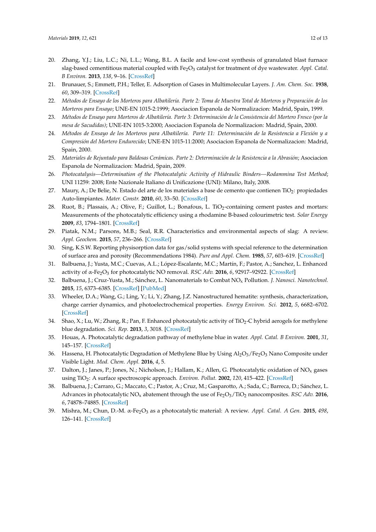- <span id="page-11-0"></span>20. Zhang, Y.J.; Liu, L.C.; Ni, L.L.; Wang, B.L. A facile and low-cost synthesis of granulated blast furnace slag-based cementitious material coupled with Fe<sub>2</sub>O<sub>3</sub> catalyst for treatment of dye wastewater. *Appl. Catal. B Environ.* **2013**, *138*, 9–16. [\[CrossRef\]](http://dx.doi.org/10.1016/j.apcatb.2013.02.025)
- <span id="page-11-1"></span>21. Brunauer, S.; Emmett, P.H.; Teller, E. Adsorption of Gases in Multimolecular Layers. *J. Am. Chem. Soc.* **1938**, *60*, 309–319. [\[CrossRef\]](http://dx.doi.org/10.1021/ja01269a023)
- <span id="page-11-2"></span>22. *Métodos de Ensayo de los Morteros para Albañilería. Parte 2: Toma de Muestra Total de Morteros y Preparación de los Morteros para Ensayo*; UNE-EN 1015-2:1999; Asociacion Espanola de Normalizacion: Madrid, Spain, 1999.
- <span id="page-11-3"></span>23. *Métodos de Ensayo para Morteros de Albañilería. Parte 3: Determinación de la Consistencia del Mortero Fresco (por la mesa de Sacudidas)*; UNE-EN 1015-3:2000; Asociacion Espanola de Normalizacion: Madrid, Spain, 2000.
- <span id="page-11-4"></span>24. *Métodos de Ensayo de los Morteros para Albañilería. Parte 11: Determinación de la Resistencia a Flexión y a Compresión del Mortero Endurecido*; UNE-EN 1015-11:2000; Asociacion Espanola de Normalizacion: Madrid, Spain, 2000.
- <span id="page-11-5"></span>25. *Materiales de Rejuntado para Baldosas Cerámicas. Parte 2: Determinación de la Resistencia a la Abrasión*; Asociacion Espanola de Normalizacion: Madrid, Spain, 2009.
- <span id="page-11-6"></span>26. *Photocatalysis—Determination of the Photocatalytic Activity of Hidraulic Binders—Rodammina Test Method*; UNI 11259: 2008; Ente Nazionale Italiano di Unificazione (UNI): Milano, Italy, 2008.
- <span id="page-11-7"></span>27. Maury, A.; De Belie, N. Estado del arte de los materiales a base de cemento que contienen TiO<sub>2</sub>: propiedades Auto-limpiantes. *Mater. Constr.* **2010**, *60*, 33–50. [\[CrossRef\]](http://dx.doi.org/10.3989/mc.2010.48408)
- <span id="page-11-8"></span>28. Ruot, B.; Plassais, A.; Olive, F.; Guillot, L.; Bonafous, L. TiO<sub>2</sub>-containing cement pastes and mortars: Measurements of the photocatalytic efficiency using a rhodamine B-based colourimetric test. *Solar Energy* **2009**, *83*, 1794–1801. [\[CrossRef\]](http://dx.doi.org/10.1016/j.solener.2009.05.017)
- <span id="page-11-9"></span>29. Piatak, N.M.; Parsons, M.B.; Seal, R.R. Characteristics and environmental aspects of slag: A review. *Appl. Geochem.* **2015**, *57*, 236–266. [\[CrossRef\]](http://dx.doi.org/10.1016/j.apgeochem.2014.04.009)
- <span id="page-11-10"></span>30. Sing, K.S.W. Reporting physisorption data for gas/solid systems with special reference to the determination of surface area and porosity (Recommendations 1984). *Pure and Appl. Chem.* **1985**, *57*, 603–619. [\[CrossRef\]](http://dx.doi.org/10.1351/pac198557040603)
- <span id="page-11-11"></span>31. Balbuena, J.; Yusta, M.C.; Cuevas, A.L.; López-Escalante, M.C.; Martín, F.; Pastor, A.; Sanchez, L. Enhanced activity of α-Fe<sub>2</sub>O<sub>3</sub> for photocatalytic NO removal. *RSC Adv.* **2016**, 6, 92917–92922. [\[CrossRef\]](http://dx.doi.org/10.1039/C6RA19167C)
- <span id="page-11-12"></span>32. Balbuena, J.; Cruz-Yusta, M.; Sánchez, L. Nanomaterials to Combat NOx Pollution. *J. Nanosci. Nanotechnol.* **2015**, *15*, 6373–6385. [\[CrossRef\]](http://dx.doi.org/10.1166/jnn.2015.10871) [\[PubMed\]](http://www.ncbi.nlm.nih.gov/pubmed/26716191)
- <span id="page-11-13"></span>33. Wheeler, D.A.; Wang, G.; Ling, Y.; Li, Y.; Zhang, J.Z. Nanostructured hematite: synthesis, characterization, charge carrier dynamics, and photoelectrochemical properties. *Energy Environ. Sci.* **2012**, *5*, 6682–6702. [\[CrossRef\]](http://dx.doi.org/10.1039/c2ee00001f)
- <span id="page-11-14"></span>34. Shao, X.; Lu, W.; Zhang, R.; Pan, F. Enhanced photocatalytic activity of TiO<sub>2</sub>-C hybrid aerogels for methylene blue degradation. *Sci. Rep.* **2013**, *3*, 3018. [\[CrossRef\]](http://dx.doi.org/10.1038/srep03018)
- <span id="page-11-15"></span>35. Houas, A. Photocatalytic degradation pathway of methylene blue in water. *Appl. Catal. B Environ.* **2001**, *31*, 145–157. [\[CrossRef\]](http://dx.doi.org/10.1016/S0926-3373(00)00276-9)
- <span id="page-11-16"></span>36. Hassena, H. Photocatalytic Degradation of Methylene Blue by Using  $Al_2O_3/Fe_2O_3$  Nano Composite under Visible Light. *Mod. Chem. Appl.* **2016**, *4*, 5.
- <span id="page-11-17"></span>37. Dalton, J.; Janes, P.; Jones, N.; Nicholson, J.; Hallam, K.; Allen, G. Photocatalytic oxidation of NO<sub>x</sub> gases using TiO<sup>2</sup> : A surface spectroscopic approach. *Environ. Pollut.* **2002**, *120*, 415–422. [\[CrossRef\]](http://dx.doi.org/10.1016/S0269-7491(02)00107-0)
- <span id="page-11-18"></span>38. Balbuena, J.; Carraro, G.; Maccato, C.; Pastor, A.; Cruz, M.; Gasparotto, A.; Sada, C.; Barreca, D.; Sánchez, L. Advances in photocatalytic NO<sub>x</sub> abatement through the use of Fe<sub>2</sub>O<sub>3</sub>/TiO<sub>2</sub> nanocomposites. *RSC Adv.* **2016**, *6*, 74878–74885. [\[CrossRef\]](http://dx.doi.org/10.1039/C6RA15958C)
- <span id="page-11-19"></span>39. Mishra, M.; Chun, D.-M. α-Fe2O<sup>3</sup> as a photocatalytic material: A review. *Appl. Catal. A Gen.* **2015**, *498*, 126–141. [\[CrossRef\]](http://dx.doi.org/10.1016/j.apcata.2015.03.023)